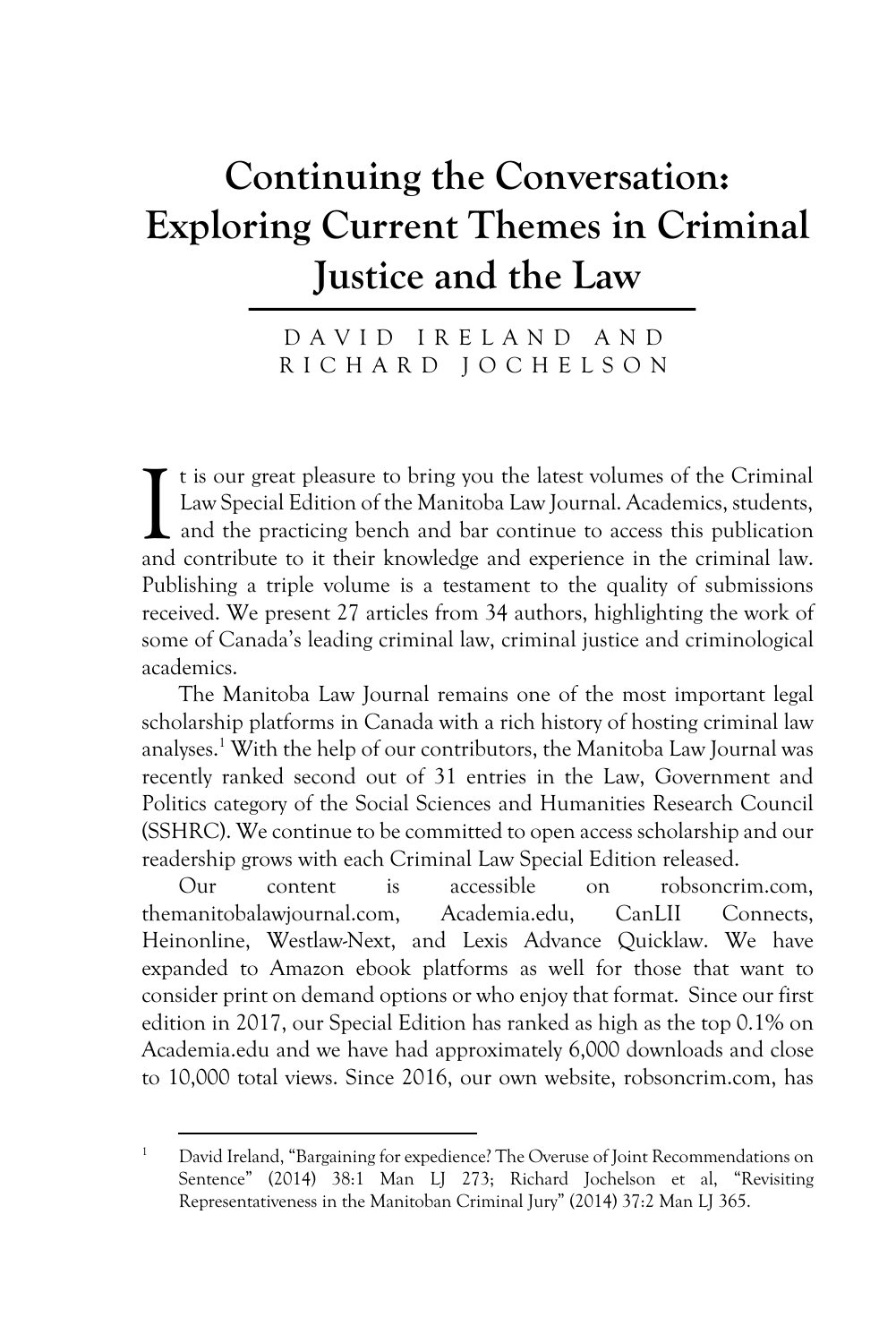# **Continuing the Conversation: Exploring Current Themes in Criminal Justice and the Law**

DAVID IRELAND AND RICHARD JOCHELSON

t is our great pleasure to bring you the latest volumes of the Criminal Law Special Edition of the Manitoba Law Journal. Academics, students, and the practicing bench and bar continue to access this publication and contribute to it their knowledge and experience in the criminal law. Publishing a triple volume is a testament to the quality of submissions received. We present 27 articles from 34 authors, highlighting the work of some of Canada's leading criminal law, criminal justice and criminological academics. I

The Manitoba Law Journal remains one of the most important legal scholarship platforms in Canada with a rich history of hosting criminal law analyses.1 With the help of our contributors, the Manitoba Law Journal was recently ranked second out of 31 entries in the Law, Government and Politics category of the Social Sciences and Humanities Research Council (SSHRC). We continue to be committed to open access scholarship and our readership grows with each Criminal Law Special Edition released.

Our content is accessible on robsoncrim.com, themanitobalawjournal.com, Academia.edu, CanLII Connects, Heinonline, Westlaw-Next, and Lexis Advance Quicklaw. We have expanded to Amazon ebook platforms as well for those that want to consider print on demand options or who enjoy that format. Since our first edition in 2017, our Special Edition has ranked as high as the top 0.1% on Academia.edu and we have had approximately 6,000 downloads and close to 10,000 total views. Since 2016, our own website, robsoncrim.com, has

<sup>1</sup> David Ireland, "Bargaining for expedience? The Overuse of Joint Recommendations on Sentence" (2014) 38:1 Man LJ 273; Richard Jochelson et al, "Revisiting Representativeness in the Manitoban Criminal Jury" (2014) 37:2 Man LJ 365.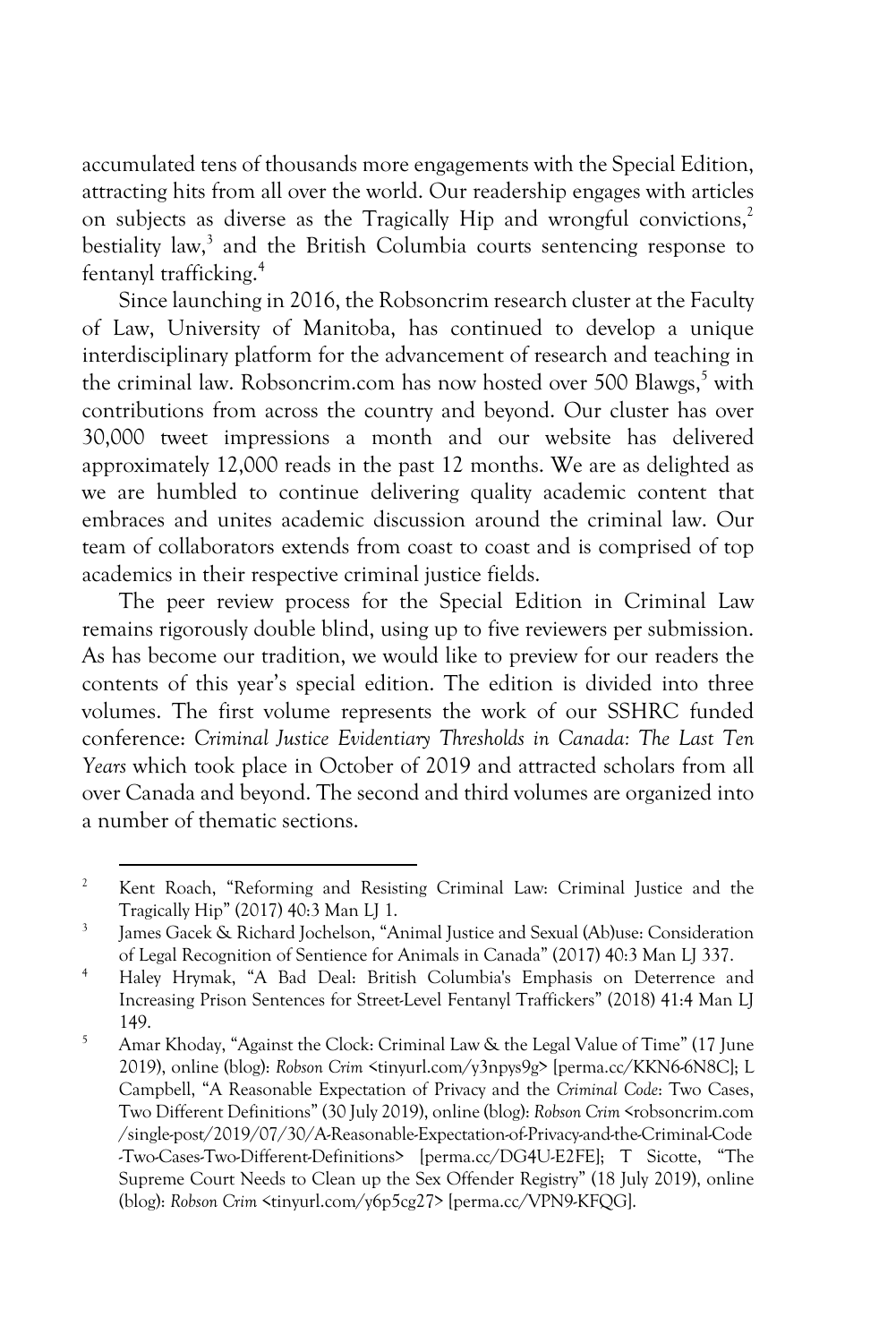accumulated tens of thousands more engagements with the Special Edition, attracting hits from all over the world. Our readership engages with articles on subjects as diverse as the Tragically Hip and wrongful convictions,<sup>2</sup> bestiality law, $3$  and the British Columbia courts sentencing response to fentanyl trafficking.4

Since launching in 2016, the Robsoncrim research cluster at the Faculty of Law, University of Manitoba, has continued to develop a unique interdisciplinary platform for the advancement of research and teaching in the criminal law. Robsoncrim.com has now hosted over  $500$  Blawgs,  $5\text{ with}$ contributions from across the country and beyond. Our cluster has over 30,000 tweet impressions a month and our website has delivered approximately 12,000 reads in the past 12 months. We are as delighted as we are humbled to continue delivering quality academic content that embraces and unites academic discussion around the criminal law. Our team of collaborators extends from coast to coast and is comprised of top academics in their respective criminal justice fields.

The peer review process for the Special Edition in Criminal Law remains rigorously double blind, using up to five reviewers per submission. As has become our tradition, we would like to preview for our readers the contents of this year's special edition. The edition is divided into three volumes. The first volume represents the work of our SSHRC funded conference: *Criminal Justice Evidentiary Thresholds in Canada: The Last Ten Years* which took place in October of 2019 and attracted scholars from all over Canada and beyond. The second and third volumes are organized into a number of thematic sections.

<sup>&</sup>lt;sup>2</sup> Kent Roach, "Reforming and Resisting Criminal Law: Criminal Justice and the Tragically Hip" (2017) 40:3 Man LJ 1.<br><sup>3</sup> James Gacek & Richard Jochelson, "Animal Justice and Sexual (Ab)use: Consideration

of Legal Recognition of Sentience for Animals in Canada" (2017) 40:3 Man LJ 337. 4 Haley Hrymak, "A Bad Deal: British Columbia's Emphasis on Deterrence and

Increasing Prison Sentences for Street-Level Fentanyl Traffickers" (2018) 41:4 Man LJ 149. 5 Amar Khoday, "Against the Clock: Criminal Law & the Legal Value of Time" (17 June

<sup>2019),</sup> online (blog): *Robson Crim* <tinyurl.com/y3npys9g> [perma.cc/KKN6-6N8C]; L Campbell, "A Reasonable Expectation of Privacy and the *Criminal Code*: Two Cases, Two Different Definitions" (30 July 2019), online (blog): *Robson Crim* <robsoncrim.com /single-post/2019/07/30/A-Reasonable-Expectation-of-Privacy-and-the-Criminal-Code -Two-Cases-Two-Different-Definitions> [perma.cc/DG4U-E2FE]; T Sicotte, "The Supreme Court Needs to Clean up the Sex Offender Registry" (18 July 2019), online (blog): *Robson Crim* <tinyurl.com/y6p5cg27> [perma.cc/VPN9-KFQG].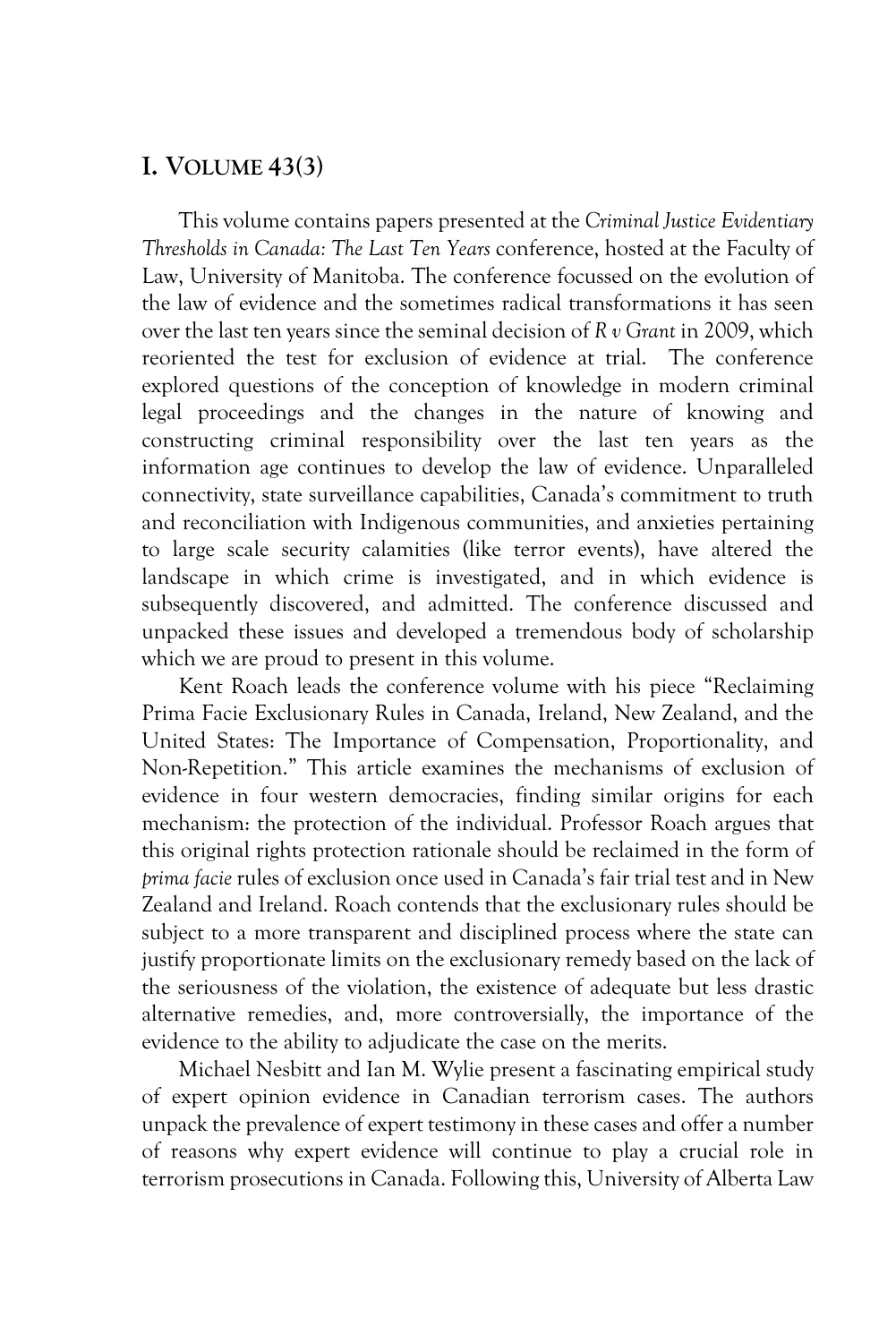### **I. VOLUME 43(3)**

This volume contains papers presented at the *Criminal Justice Evidentiary Thresholds in Canada: The Last Ten Years* conference, hosted at the Faculty of Law, University of Manitoba. The conference focussed on the evolution of the law of evidence and the sometimes radical transformations it has seen over the last ten years since the seminal decision of *R v Grant* in 2009, which reoriented the test for exclusion of evidence at trial. The conference explored questions of the conception of knowledge in modern criminal legal proceedings and the changes in the nature of knowing and constructing criminal responsibility over the last ten years as the information age continues to develop the law of evidence. Unparalleled connectivity, state surveillance capabilities, Canada's commitment to truth and reconciliation with Indigenous communities, and anxieties pertaining to large scale security calamities (like terror events), have altered the landscape in which crime is investigated, and in which evidence is subsequently discovered, and admitted. The conference discussed and unpacked these issues and developed a tremendous body of scholarship which we are proud to present in this volume.

Kent Roach leads the conference volume with his piece "Reclaiming Prima Facie Exclusionary Rules in Canada, Ireland, New Zealand, and the United States: The Importance of Compensation, Proportionality, and Non-Repetition." This article examines the mechanisms of exclusion of evidence in four western democracies, finding similar origins for each mechanism: the protection of the individual. Professor Roach argues that this original rights protection rationale should be reclaimed in the form of *prima facie* rules of exclusion once used in Canada's fair trial test and in New Zealand and Ireland. Roach contends that the exclusionary rules should be subject to a more transparent and disciplined process where the state can justify proportionate limits on the exclusionary remedy based on the lack of the seriousness of the violation, the existence of adequate but less drastic alternative remedies, and, more controversially, the importance of the evidence to the ability to adjudicate the case on the merits.

Michael Nesbitt and Ian M. Wylie present a fascinating empirical study of expert opinion evidence in Canadian terrorism cases. The authors unpack the prevalence of expert testimony in these cases and offer a number of reasons why expert evidence will continue to play a crucial role in terrorism prosecutions in Canada. Following this, University of Alberta Law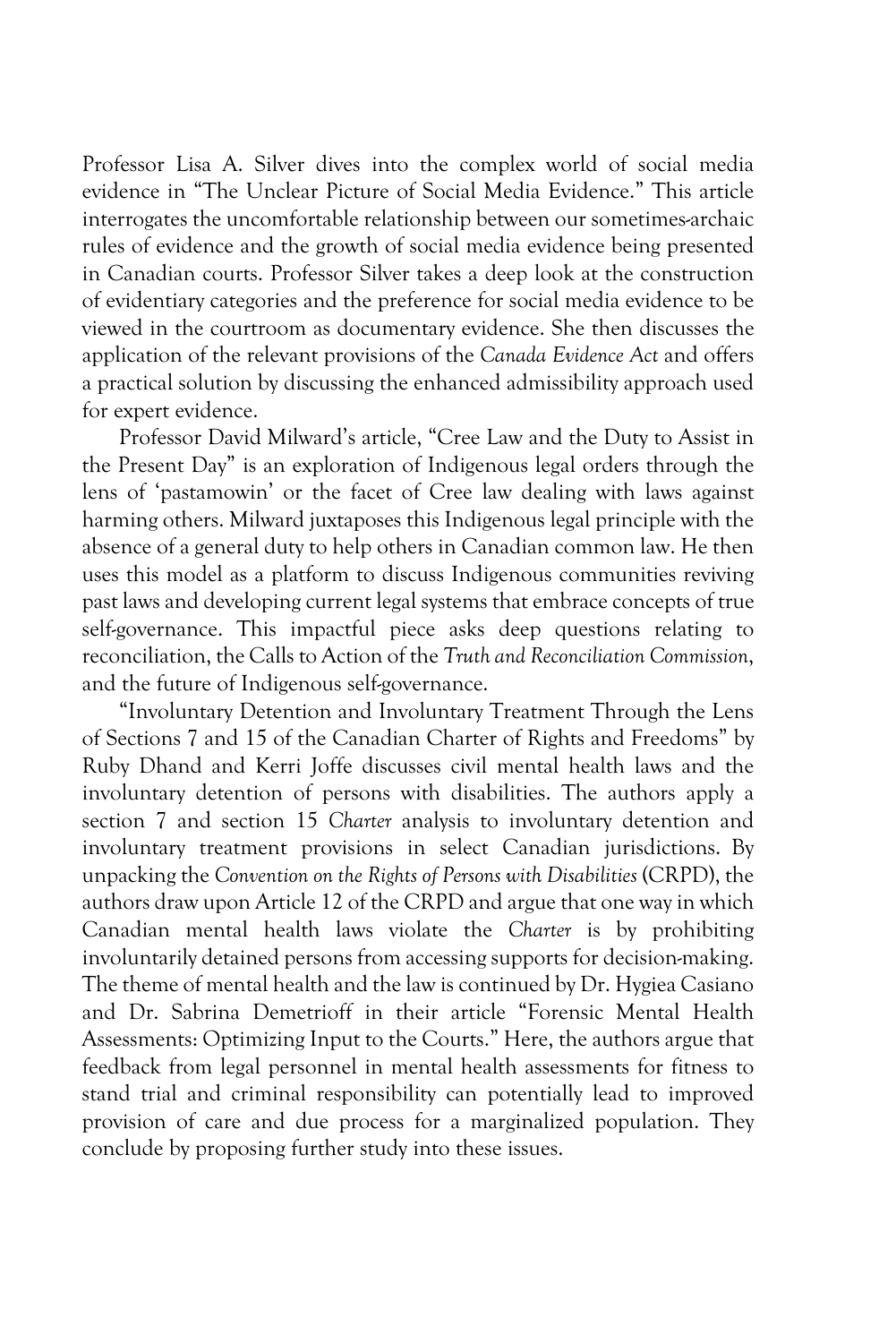Professor Lisa A. Silver dives into the complex world of social media evidence in "The Unclear Picture of Social Media Evidence." This article interrogates the uncomfortable relationship between our sometimes-archaic rules of evidence and the growth of social media evidence being presented in Canadian courts. Professor Silver takes a deep look at the construction of evidentiary categories and the preference for social media evidence to be viewed in the courtroom as documentary evidence. She then discusses the application of the relevant provisions of the *Canada Evidence Act* and offers a practical solution by discussing the enhanced admissibility approach used for expert evidence.

Professor David Milward's article, "Cree Law and the Duty to Assist in the Present Day" is an exploration of Indigenous legal orders through the lens of 'pastamowin' or the facet of Cree law dealing with laws against harming others. Milward juxtaposes this Indigenous legal principle with the absence of a general duty to help others in Canadian common law. He then uses this model as a platform to discuss Indigenous communities reviving past laws and developing current legal systems that embrace concepts of true self-governance. This impactful piece asks deep questions relating to reconciliation, the Calls to Action of the *Truth and Reconciliation Commission*, and the future of Indigenous self-governance.

"Involuntary Detention and Involuntary Treatment Through the Lens of Sections 7 and 15 of the Canadian Charter of Rights and Freedoms" by Ruby Dhand and Kerri Joffe discusses civil mental health laws and the involuntary detention of persons with disabilities. The authors apply a section 7 and section 15 *Charter* analysis to involuntary detention and involuntary treatment provisions in select Canadian jurisdictions. By unpacking the *Convention on the Rights of Persons with Disabilities* (CRPD), the authors draw upon Article 12 of the CRPD and argue that one way in which Canadian mental health laws violate the *Charter* is by prohibiting involuntarily detained persons from accessing supports for decision-making. The theme of mental health and the law is continued by Dr. Hygiea Casiano and Dr. Sabrina Demetrioff in their article "Forensic Mental Health Assessments: Optimizing Input to the Courts." Here, the authors argue that feedback from legal personnel in mental health assessments for fitness to stand trial and criminal responsibility can potentially lead to improved provision of care and due process for a marginalized population. They conclude by proposing further study into these issues.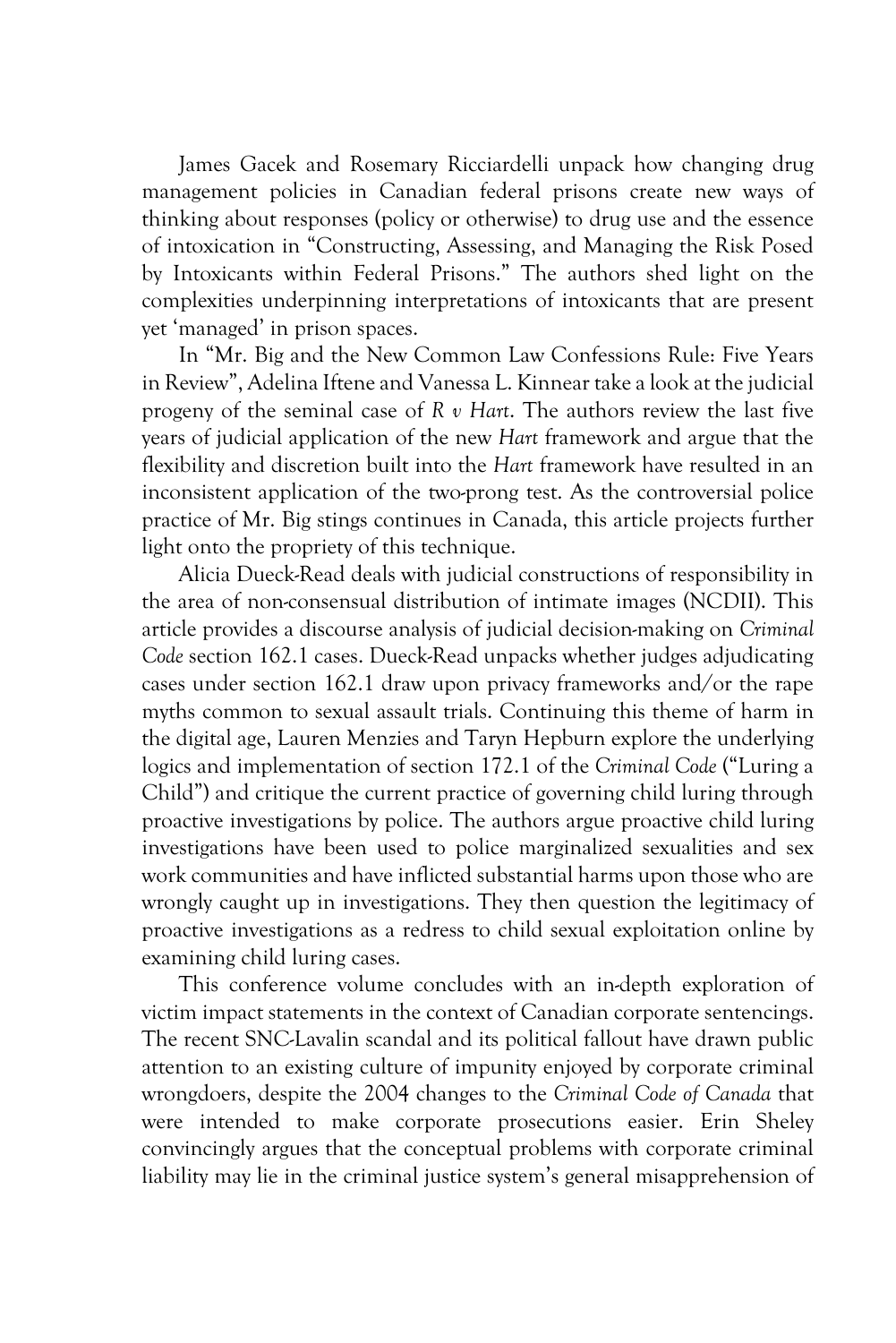James Gacek and Rosemary Ricciardelli unpack how changing drug management policies in Canadian federal prisons create new ways of thinking about responses (policy or otherwise) to drug use and the essence of intoxication in "Constructing, Assessing, and Managing the Risk Posed by Intoxicants within Federal Prisons." The authors shed light on the complexities underpinning interpretations of intoxicants that are present yet 'managed' in prison spaces.

In "Mr. Big and the New Common Law Confessions Rule: Five Years in Review", Adelina Iftene and Vanessa L. Kinnear take a look at the judicial progeny of the seminal case of *R v Hart*. The authors review the last five years of judicial application of the new *Hart* framework and argue that the flexibility and discretion built into the *Hart* framework have resulted in an inconsistent application of the two-prong test. As the controversial police practice of Mr. Big stings continues in Canada, this article projects further light onto the propriety of this technique.

Alicia Dueck-Read deals with judicial constructions of responsibility in the area of non-consensual distribution of intimate images (NCDII). This article provides a discourse analysis of judicial decision-making on *Criminal Code* section 162.1 cases. Dueck-Read unpacks whether judges adjudicating cases under section 162.1 draw upon privacy frameworks and/or the rape myths common to sexual assault trials. Continuing this theme of harm in the digital age, Lauren Menzies and Taryn Hepburn explore the underlying logics and implementation of section 172.1 of the *Criminal Code* ("Luring a Child") and critique the current practice of governing child luring through proactive investigations by police. The authors argue proactive child luring investigations have been used to police marginalized sexualities and sex work communities and have inflicted substantial harms upon those who are wrongly caught up in investigations. They then question the legitimacy of proactive investigations as a redress to child sexual exploitation online by examining child luring cases.

This conference volume concludes with an in-depth exploration of victim impact statements in the context of Canadian corporate sentencings. The recent SNC-Lavalin scandal and its political fallout have drawn public attention to an existing culture of impunity enjoyed by corporate criminal wrongdoers, despite the 2004 changes to the *Criminal Code of Canada* that were intended to make corporate prosecutions easier. Erin Sheley convincingly argues that the conceptual problems with corporate criminal liability may lie in the criminal justice system's general misapprehension of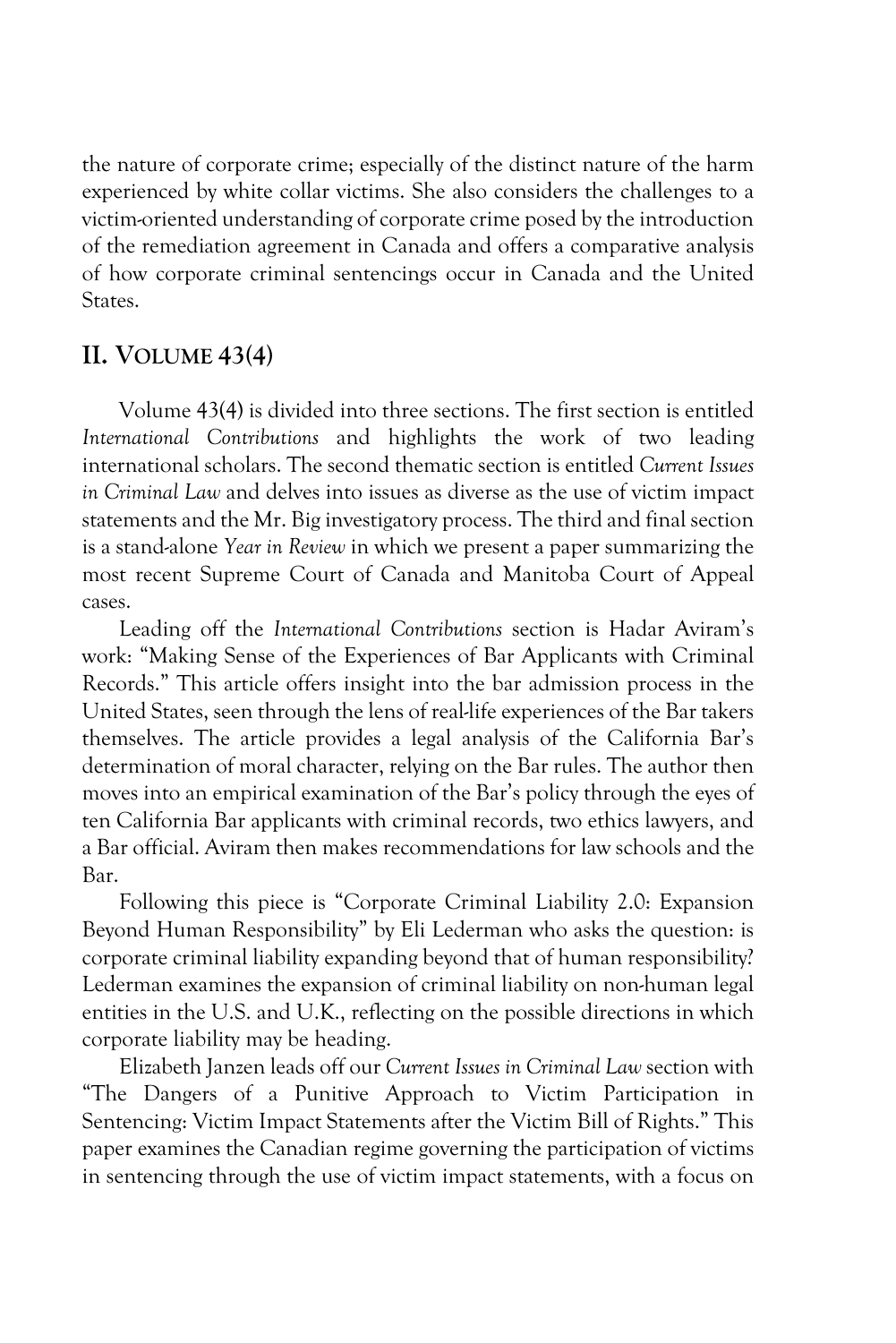the nature of corporate crime; especially of the distinct nature of the harm experienced by white collar victims. She also considers the challenges to a victim-oriented understanding of corporate crime posed by the introduction of the remediation agreement in Canada and offers a comparative analysis of how corporate criminal sentencings occur in Canada and the United States.

## **II. VOLUME 43(4)**

Volume 43(4) is divided into three sections. The first section is entitled *International Contributions* and highlights the work of two leading international scholars. The second thematic section is entitled *Current Issues in Criminal Law* and delves into issues as diverse as the use of victim impact statements and the Mr. Big investigatory process. The third and final section is a stand-alone *Year in Review* in which we present a paper summarizing the most recent Supreme Court of Canada and Manitoba Court of Appeal cases.

Leading off the *International Contributions* section is Hadar Aviram's work: "Making Sense of the Experiences of Bar Applicants with Criminal Records." This article offers insight into the bar admission process in the United States, seen through the lens of real-life experiences of the Bar takers themselves. The article provides a legal analysis of the California Bar's determination of moral character, relying on the Bar rules. The author then moves into an empirical examination of the Bar's policy through the eyes of ten California Bar applicants with criminal records, two ethics lawyers, and a Bar official. Aviram then makes recommendations for law schools and the Bar.

Following this piece is "Corporate Criminal Liability 2.0: Expansion Beyond Human Responsibility" by Eli Lederman who asks the question: is corporate criminal liability expanding beyond that of human responsibility? Lederman examines the expansion of criminal liability on non-human legal entities in the U.S. and U.K., reflecting on the possible directions in which corporate liability may be heading.

Elizabeth Janzen leads off our *Current Issues in Criminal Law* section with "The Dangers of a Punitive Approach to Victim Participation in Sentencing: Victim Impact Statements after the Victim Bill of Rights." This paper examines the Canadian regime governing the participation of victims in sentencing through the use of victim impact statements, with a focus on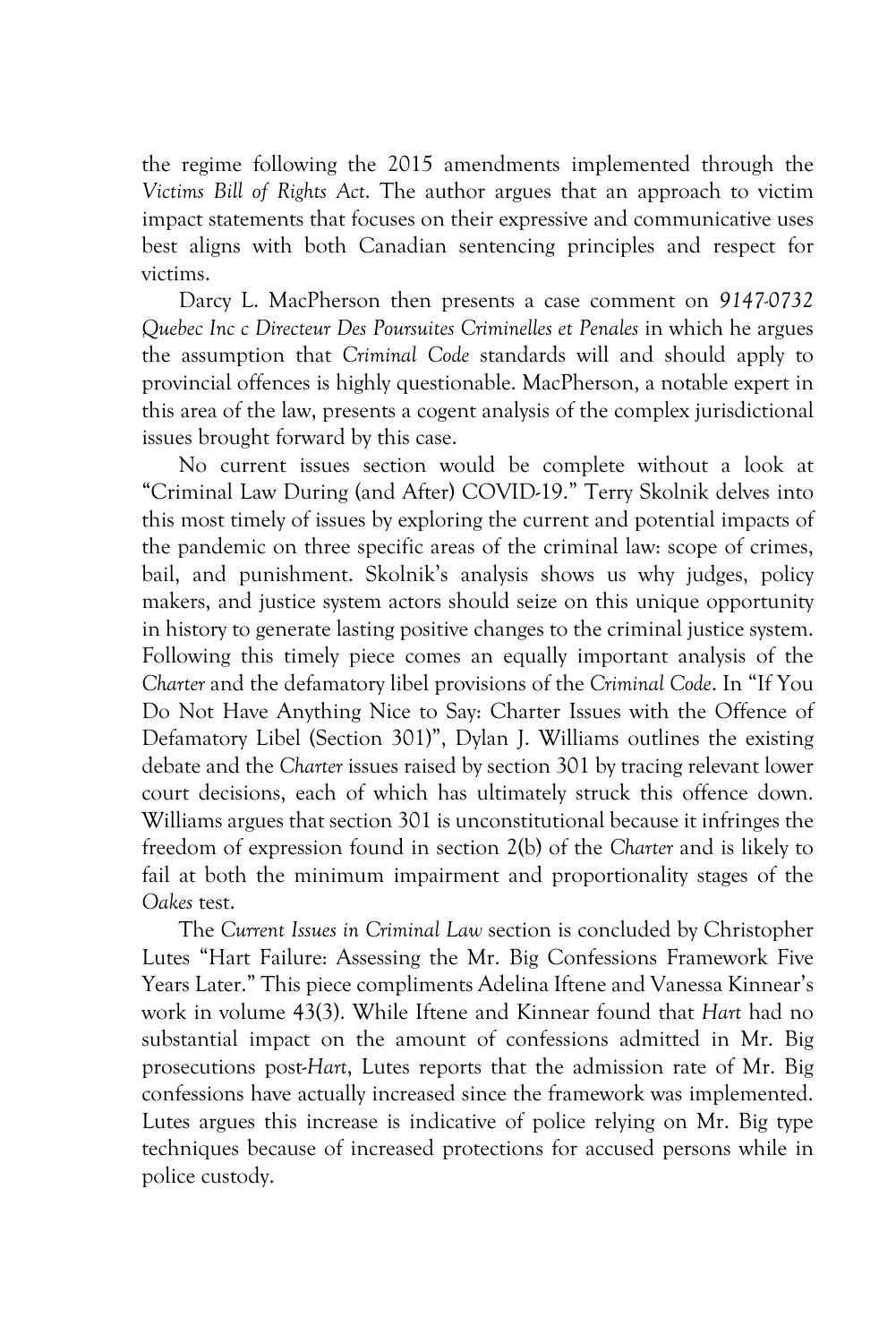the regime following the 2015 amendments implemented through the *Victims Bill of Rights Act*. The author argues that an approach to victim impact statements that focuses on their expressive and communicative uses best aligns with both Canadian sentencing principles and respect for victims.

Darcy L. MacPherson then presents a case comment on *9147-0732 Quebec Inc c Directeur Des Poursuites Criminelles et Penales* in which he argues the assumption that *Criminal Code* standards will and should apply to provincial offences is highly questionable. MacPherson, a notable expert in this area of the law, presents a cogent analysis of the complex jurisdictional issues brought forward by this case.

No current issues section would be complete without a look at "Criminal Law During (and After) COVID-19." Terry Skolnik delves into this most timely of issues by exploring the current and potential impacts of the pandemic on three specific areas of the criminal law: scope of crimes, bail, and punishment. Skolnik's analysis shows us why judges, policy makers, and justice system actors should seize on this unique opportunity in history to generate lasting positive changes to the criminal justice system. Following this timely piece comes an equally important analysis of the *Charter* and the defamatory libel provisions of the *Criminal Code*. In "If You Do Not Have Anything Nice to Say: Charter Issues with the Offence of Defamatory Libel (Section 301)", Dylan J. Williams outlines the existing debate and the *Charter* issues raised by section 301 by tracing relevant lower court decisions, each of which has ultimately struck this offence down. Williams argues that section 301 is unconstitutional because it infringes the freedom of expression found in section 2(b) of the *Charter* and is likely to fail at both the minimum impairment and proportionality stages of the *Oakes* test.

The *Current Issues in Criminal Law* section is concluded by Christopher Lutes "Hart Failure: Assessing the Mr. Big Confessions Framework Five Years Later." This piece compliments Adelina Iftene and Vanessa Kinnear's work in volume 43(3). While Iftene and Kinnear found that *Hart* had no substantial impact on the amount of confessions admitted in Mr. Big prosecutions post-*Hart*, Lutes reports that the admission rate of Mr. Big confessions have actually increased since the framework was implemented. Lutes argues this increase is indicative of police relying on Mr. Big type techniques because of increased protections for accused persons while in police custody.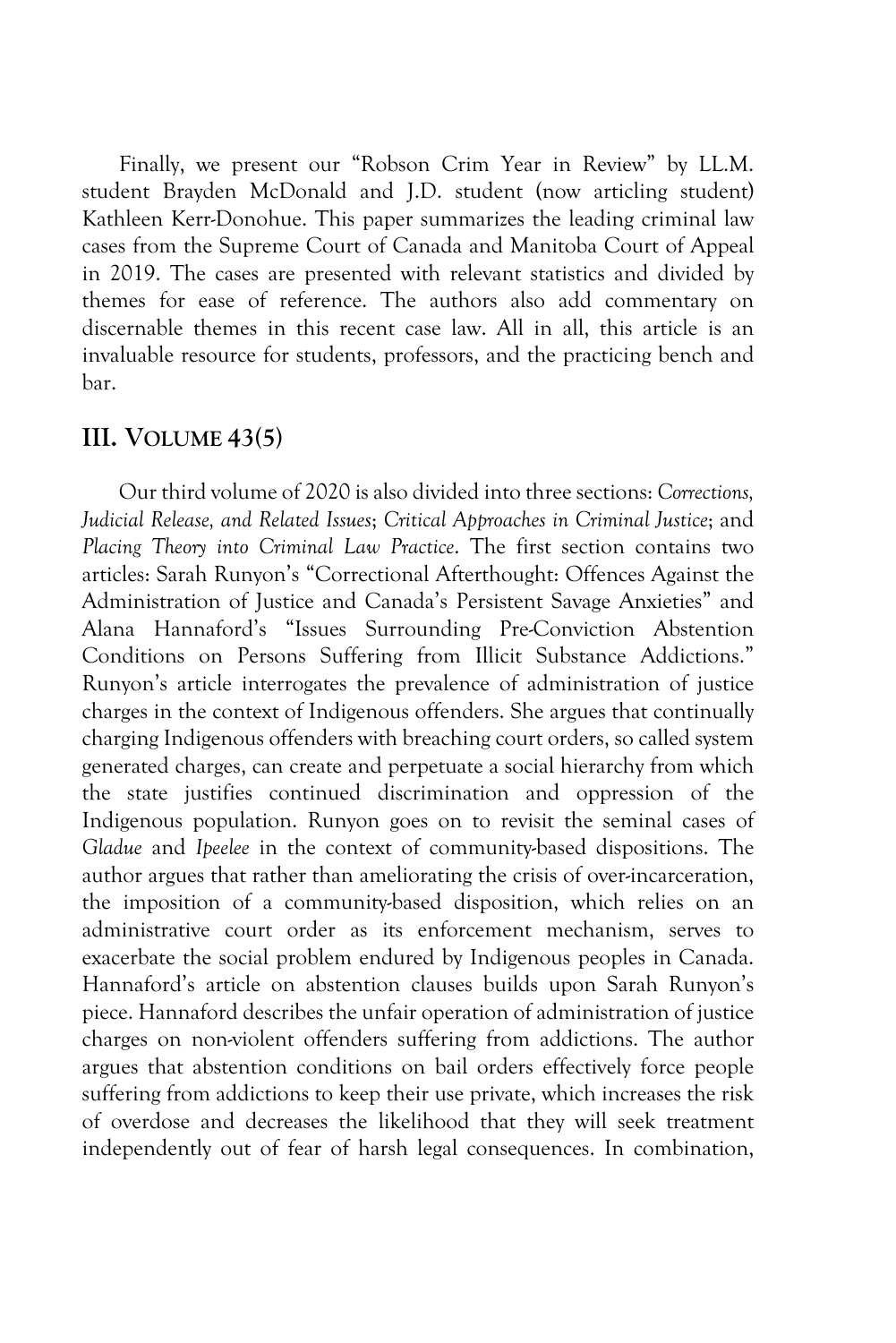Finally, we present our "Robson Crim Year in Review" by LL.M. student Brayden McDonald and J.D. student (now articling student) Kathleen Kerr-Donohue. This paper summarizes the leading criminal law cases from the Supreme Court of Canada and Manitoba Court of Appeal in 2019. The cases are presented with relevant statistics and divided by themes for ease of reference. The authors also add commentary on discernable themes in this recent case law. All in all, this article is an invaluable resource for students, professors, and the practicing bench and bar.

#### **III. VOLUME 43(5)**

Our third volume of 2020 is also divided into three sections: *Corrections, Judicial Release, and Related Issues*; *Critical Approaches in Criminal Justice*; and *Placing Theory into Criminal Law Practice*. The first section contains two articles: Sarah Runyon's "Correctional Afterthought: Offences Against the Administration of Justice and Canada's Persistent Savage Anxieties" and Alana Hannaford's "Issues Surrounding Pre-Conviction Abstention Conditions on Persons Suffering from Illicit Substance Addictions." Runyon's article interrogates the prevalence of administration of justice charges in the context of Indigenous offenders. She argues that continually charging Indigenous offenders with breaching court orders, so called system generated charges, can create and perpetuate a social hierarchy from which the state justifies continued discrimination and oppression of the Indigenous population. Runyon goes on to revisit the seminal cases of *Gladue* and *Ipeelee* in the context of community-based dispositions. The author argues that rather than ameliorating the crisis of over-incarceration, the imposition of a community-based disposition, which relies on an administrative court order as its enforcement mechanism, serves to exacerbate the social problem endured by Indigenous peoples in Canada. Hannaford's article on abstention clauses builds upon Sarah Runyon's piece. Hannaford describes the unfair operation of administration of justice charges on non-violent offenders suffering from addictions. The author argues that abstention conditions on bail orders effectively force people suffering from addictions to keep their use private, which increases the risk of overdose and decreases the likelihood that they will seek treatment independently out of fear of harsh legal consequences. In combination,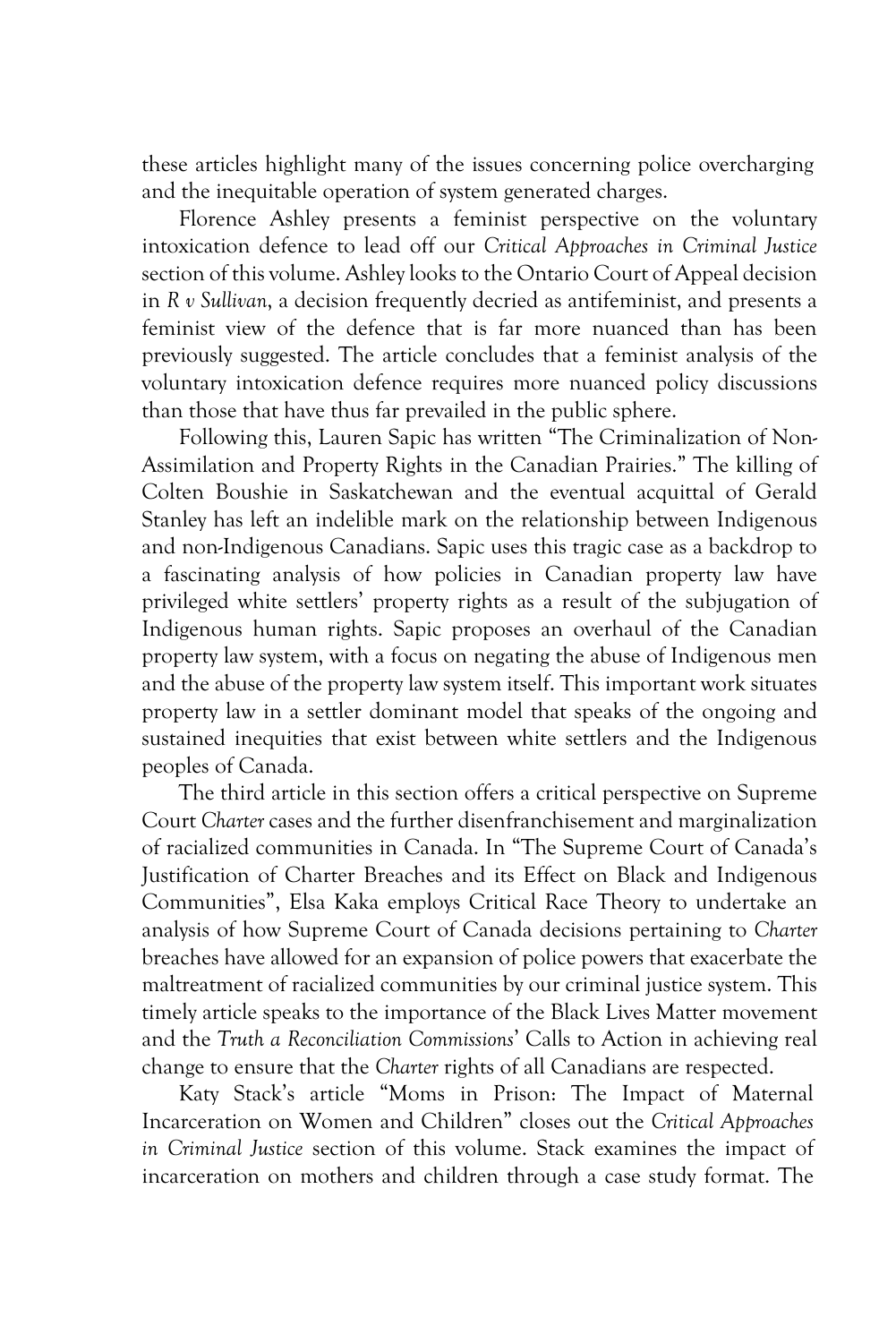these articles highlight many of the issues concerning police overcharging and the inequitable operation of system generated charges.

Florence Ashley presents a feminist perspective on the voluntary intoxication defence to lead off our *Critical Approaches in Criminal Justice*  section of this volume. Ashley looks to the Ontario Court of Appeal decision in *R v Sullivan*, a decision frequently decried as antifeminist, and presents a feminist view of the defence that is far more nuanced than has been previously suggested. The article concludes that a feminist analysis of the voluntary intoxication defence requires more nuanced policy discussions than those that have thus far prevailed in the public sphere.

Following this, Lauren Sapic has written "The Criminalization of Non-Assimilation and Property Rights in the Canadian Prairies." The killing of Colten Boushie in Saskatchewan and the eventual acquittal of Gerald Stanley has left an indelible mark on the relationship between Indigenous and non-Indigenous Canadians. Sapic uses this tragic case as a backdrop to a fascinating analysis of how policies in Canadian property law have privileged white settlers' property rights as a result of the subjugation of Indigenous human rights. Sapic proposes an overhaul of the Canadian property law system, with a focus on negating the abuse of Indigenous men and the abuse of the property law system itself. This important work situates property law in a settler dominant model that speaks of the ongoing and sustained inequities that exist between white settlers and the Indigenous peoples of Canada.

The third article in this section offers a critical perspective on Supreme Court *Charter* cases and the further disenfranchisement and marginalization of racialized communities in Canada. In "The Supreme Court of Canada's Justification of Charter Breaches and its Effect on Black and Indigenous Communities", Elsa Kaka employs Critical Race Theory to undertake an analysis of how Supreme Court of Canada decisions pertaining to *Charter* breaches have allowed for an expansion of police powers that exacerbate the maltreatment of racialized communities by our criminal justice system. This timely article speaks to the importance of the Black Lives Matter movement and the *Truth a Reconciliation Commissions*' Calls to Action in achieving real change to ensure that the *Charter* rights of all Canadians are respected.

Katy Stack's article "Moms in Prison: The Impact of Maternal Incarceration on Women and Children" closes out the *Critical Approaches in Criminal Justice* section of this volume. Stack examines the impact of incarceration on mothers and children through a case study format. The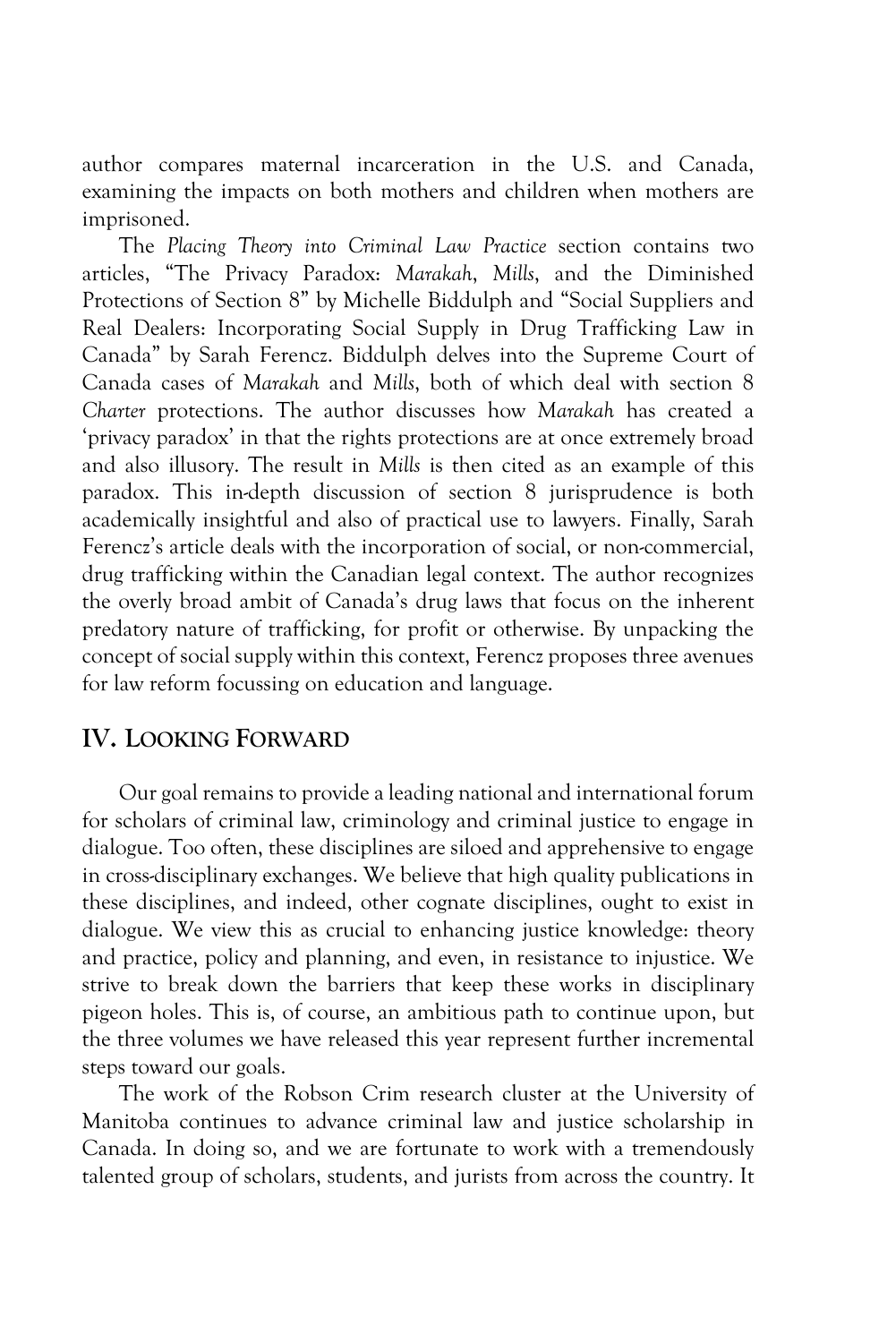author compares maternal incarceration in the U.S. and Canada, examining the impacts on both mothers and children when mothers are imprisoned.

The *Placing Theory into Criminal Law Practice* section contains two articles, "The Privacy Paradox: *Marakah*, *Mills*, and the Diminished Protections of Section 8" by Michelle Biddulph and "Social Suppliers and Real Dealers: Incorporating Social Supply in Drug Trafficking Law in Canada" by Sarah Ferencz. Biddulph delves into the Supreme Court of Canada cases of *Marakah* and *Mills*, both of which deal with section 8 *Charter* protections. The author discusses how *Marakah* has created a 'privacy paradox' in that the rights protections are at once extremely broad and also illusory. The result in *Mills* is then cited as an example of this paradox. This in-depth discussion of section 8 jurisprudence is both academically insightful and also of practical use to lawyers. Finally, Sarah Ferencz's article deals with the incorporation of social, or non-commercial, drug trafficking within the Canadian legal context. The author recognizes the overly broad ambit of Canada's drug laws that focus on the inherent predatory nature of trafficking, for profit or otherwise. By unpacking the concept of social supply within this context, Ferencz proposes three avenues for law reform focussing on education and language.

## **IV. LOOKING FORWARD**

Our goal remains to provide a leading national and international forum for scholars of criminal law, criminology and criminal justice to engage in dialogue. Too often, these disciplines are siloed and apprehensive to engage in cross-disciplinary exchanges. We believe that high quality publications in these disciplines, and indeed, other cognate disciplines, ought to exist in dialogue. We view this as crucial to enhancing justice knowledge: theory and practice, policy and planning, and even, in resistance to injustice. We strive to break down the barriers that keep these works in disciplinary pigeon holes. This is, of course, an ambitious path to continue upon, but the three volumes we have released this year represent further incremental steps toward our goals.

The work of the Robson Crim research cluster at the University of Manitoba continues to advance criminal law and justice scholarship in Canada. In doing so, and we are fortunate to work with a tremendously talented group of scholars, students, and jurists from across the country. It